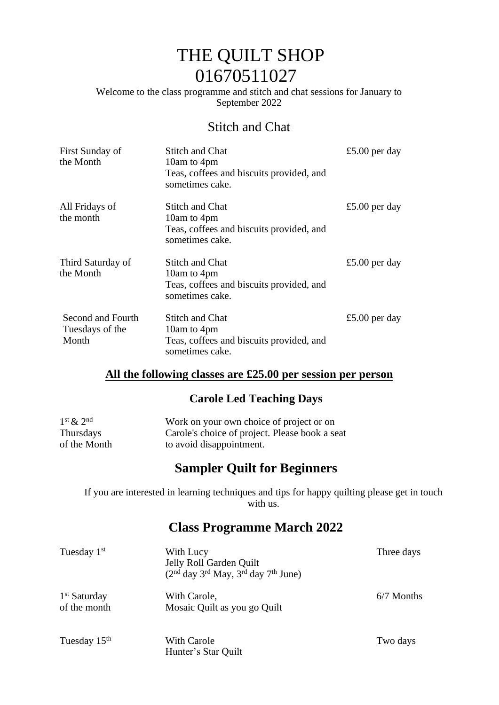# THE QUILT SHOP 01670511027

Welcome to the class programme and stitch and chat sessions for January to September 2022

#### Stitch and Chat

| First Sunday of<br>the Month                  | <b>Stitch and Chat</b><br>10am to 4pm<br>Teas, coffees and biscuits provided, and<br>sometimes cake. | £5.00 per day |
|-----------------------------------------------|------------------------------------------------------------------------------------------------------|---------------|
| All Fridays of<br>the month                   | Stitch and Chat<br>10am to 4pm<br>Teas, coffees and biscuits provided, and<br>sometimes cake.        | £5.00 per day |
| Third Saturday of<br>the Month                | <b>Stitch and Chat</b><br>10am to 4pm<br>Teas, coffees and biscuits provided, and<br>sometimes cake. | £5.00 per day |
| Second and Fourth<br>Tuesdays of the<br>Month | <b>Stitch and Chat</b><br>10am to 4pm<br>Teas, coffees and biscuits provided, and<br>sometimes cake. | £5.00 per day |

#### **All the following classes are £25.00 per session per person**

#### **Carole Led Teaching Days**

| $1st \& 2nd$ | Work on your own choice of project or on       |
|--------------|------------------------------------------------|
| Thursdays    | Carole's choice of project. Please book a seat |
| of the Month | to avoid disappointment.                       |

### **Sampler Quilt for Beginners**

If you are interested in learning techniques and tips for happy quilting please get in touch with us.

#### **Class Programme March 2022**

| Tuesday 1 <sup>st</sup>        | With Lucy<br>Jelly Roll Garden Quilt<br>$(2nd day 3rd May, 3rd day 7th June)$ | Three days   |
|--------------------------------|-------------------------------------------------------------------------------|--------------|
| $1st$ Saturday<br>of the month | With Carole,<br>Mosaic Quilt as you go Quilt                                  | $6/7$ Months |
| Tuesday 15 <sup>th</sup>       | With Carole<br>Hunter's Star Quilt                                            | Two days     |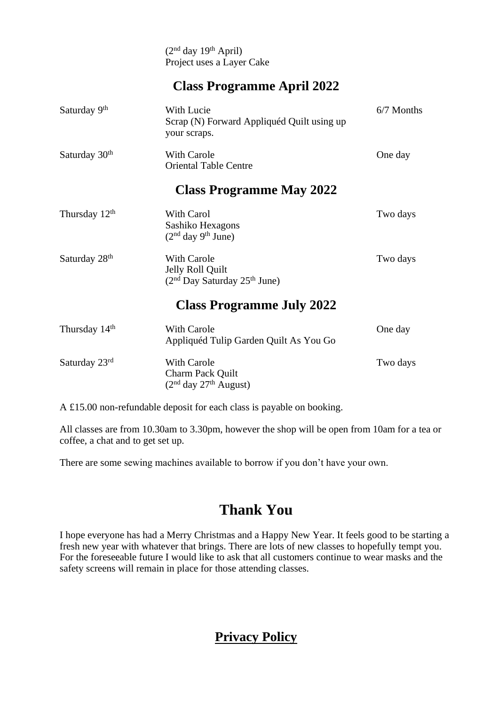$(2<sup>nd</sup> day 19<sup>th</sup> April)$ Project uses a Layer Cake

#### **Class Programme April 2022**

| Saturday 9th              | <b>With Lucie</b><br>Scrap (N) Forward Appliquéd Quilt using up<br>your scraps. | 6/7 Months |
|---------------------------|---------------------------------------------------------------------------------|------------|
| Saturday 30 <sup>th</sup> | With Carole<br><b>Oriental Table Centre</b>                                     | One day    |
|                           | <b>Class Programme May 2022</b>                                                 |            |
| Thursday 12 <sup>th</sup> | With Carol<br>Sashiko Hexagons<br>$(2nd day 9th June)$                          | Two days   |
| Saturday 28 <sup>th</sup> | <b>With Carole</b><br>Jelly Roll Quilt                                          | Two days   |

#### **Class Programme July 2022**

| Thursday 14 <sup>th</sup> | With Carole<br>Appliquéd Tulip Garden Quilt As You Go             | One day  |
|---------------------------|-------------------------------------------------------------------|----------|
| Saturday $23rd$           | With Carole<br><b>Charm Pack Quilt</b><br>$(2nd day 27th August)$ | Two days |

 $(2<sup>nd</sup>$  Day Saturday  $25<sup>th</sup>$  June)

A £15.00 non-refundable deposit for each class is payable on booking.

All classes are from 10.30am to 3.30pm, however the shop will be open from 10am for a tea or coffee, a chat and to get set up.

There are some sewing machines available to borrow if you don't have your own.

# **Thank You**

I hope everyone has had a Merry Christmas and a Happy New Year. It feels good to be starting a fresh new year with whatever that brings. There are lots of new classes to hopefully tempt you. For the foreseeable future I would like to ask that all customers continue to wear masks and the safety screens will remain in place for those attending classes.

## **Privacy Policy**